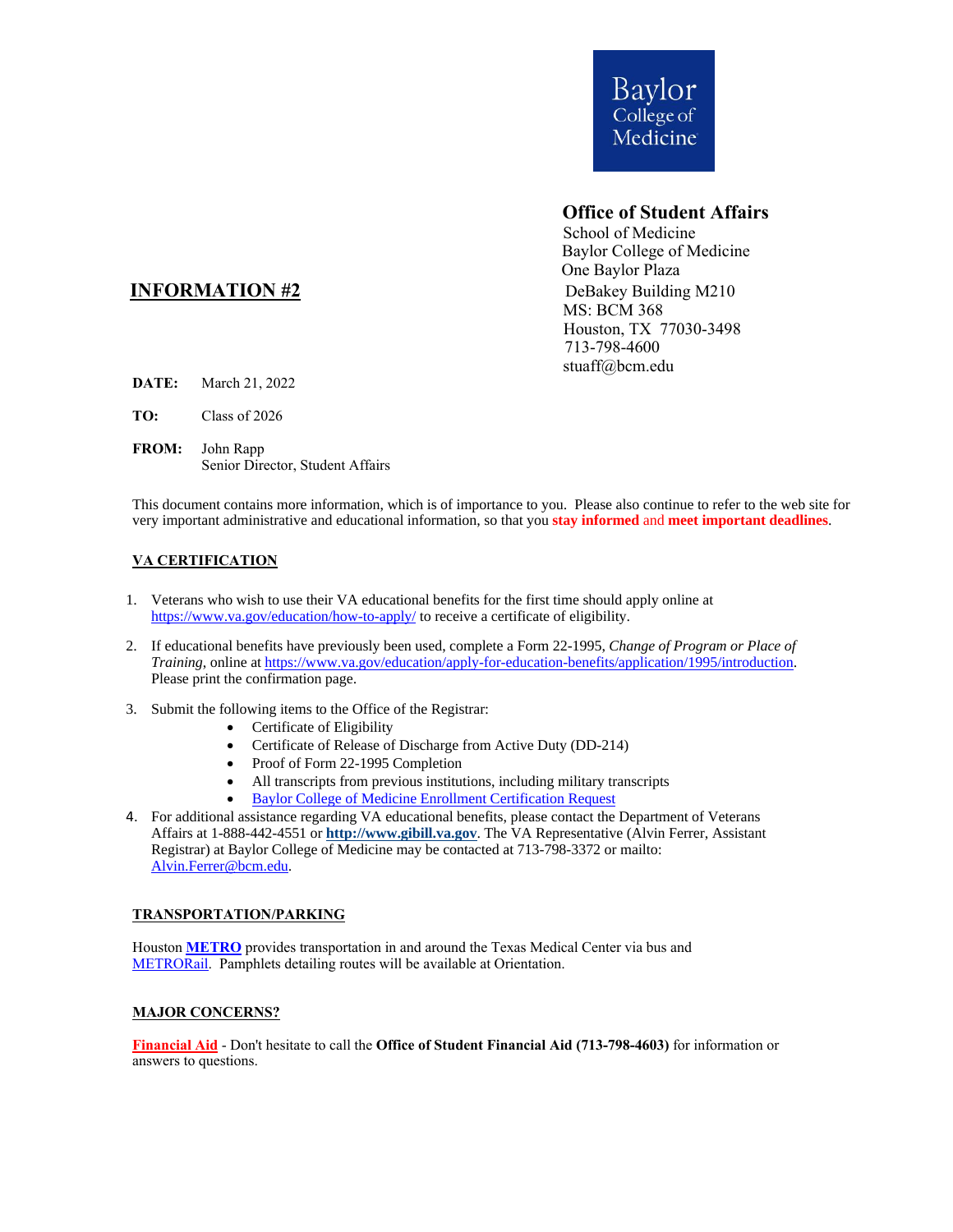

# **Office of Student Affairs**

 School of Medicine Baylor College of Medicine One Baylor Plaza MS: BCM 368 Houston, TX 77030-3498 713-798-4600 stuaff@bcm.edu

## **INFORMATION** #2 DeBakey Building M210

- **DATE:** March 21, 2022
- **TO:** Class of 2026
- **FROM:** John Rapp Senior Director, Student Affairs

This document contains more information, which is of importance to you. Please also continue to refer to the web site for very important administrative and educational information, so that you **stay informed** and **meet important deadlines**.

### **VA CERTIFICATION**

- 1. Veterans who wish to use their VA educational benefits for the first time should apply online at <https://www.va.gov/education/how-to-apply/> to receive a certificate of eligibility.
- 2. If educational benefits have previously been used, complete a Form 22-1995, *Change of Program or Place of Training*, online at [https://www.va.gov/education/apply-for-education-benefits/application/1995/introduction.](https://www.va.gov/education/apply-for-education-benefits/application/1995/introduction) Please print the confirmation page.
- 3. Submit the following items to the Office of the Registrar:
	- Certificate of Eligibility
	- Certificate of Release of Discharge from Active Duty (DD-214)
	- Proof of Form 22-1995 Completion
	- All transcripts from previous institutions, including military transcripts
	- [Baylor College of Medicine Enrollment Certification Request](https://www.bcm.edu/sites/default/files/2020-11/request-for-enrollment-certification-2020.pdf)
- 4. For additional assistance regarding VA educational benefits, please contact the Department of Veterans Affairs at 1-888-442-4551 or **[http://www.gibill.va.gov](http://www.gibill.va.gov/)**. The VA Representative (Alvin Ferrer, Assistant Registrar) at Baylor College of Medicine may be contacted at 713-798-3372 or mailto: [Alvin.Ferrer@bcm.edu.](mailto:Alvin.Ferrer@bcm.edu)

#### **TRANSPORTATION/PARKING**

Houston **[METRO](http://www.ridemetro.org/Pages/index.aspx)** provides transportation in and around the Texas Medical Center via bus and [METRORail.](http://www.ridemetro.org/Pages/Rail.aspx) Pamphlets detailing routes will be available at Orientation.

#### **MAJOR CONCERNS?**

**Financial Aid** - Don't hesitate to call the **Office of Student Financial Aid (713-798-4603)** for information or answers to questions.